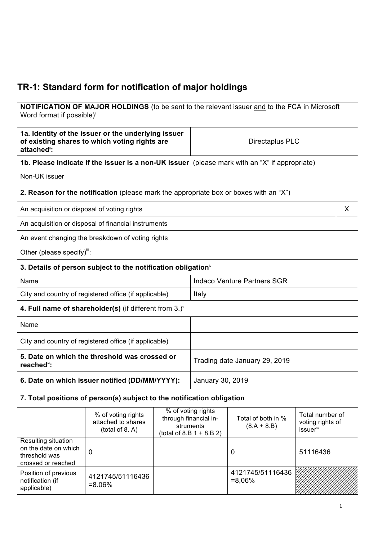# **TR-1: Standard form for notification of major holdings**

#### **NOTIFICATION OF MAJOR HOLDINGS** (to be sent to the relevant issuer and to the FCA in Microsoft Word format if possible)

| 1a. Identity of the issuer or the underlying issuer<br>of existing shares to which voting rights are<br>attached": |                                                                                               | Directaplus PLC                                                                         |                                    |                                     |                                                              |   |
|--------------------------------------------------------------------------------------------------------------------|-----------------------------------------------------------------------------------------------|-----------------------------------------------------------------------------------------|------------------------------------|-------------------------------------|--------------------------------------------------------------|---|
|                                                                                                                    | 1b. Please indicate if the issuer is a non-UK issuer (please mark with an "X" if appropriate) |                                                                                         |                                    |                                     |                                                              |   |
| Non-UK issuer                                                                                                      |                                                                                               |                                                                                         |                                    |                                     |                                                              |   |
|                                                                                                                    | 2. Reason for the notification (please mark the appropriate box or boxes with an "X")         |                                                                                         |                                    |                                     |                                                              |   |
| An acquisition or disposal of voting rights                                                                        |                                                                                               |                                                                                         |                                    |                                     |                                                              | X |
|                                                                                                                    | An acquisition or disposal of financial instruments                                           |                                                                                         |                                    |                                     |                                                              |   |
|                                                                                                                    | An event changing the breakdown of voting rights                                              |                                                                                         |                                    |                                     |                                                              |   |
| Other (please specify)":                                                                                           |                                                                                               |                                                                                         |                                    |                                     |                                                              |   |
|                                                                                                                    | 3. Details of person subject to the notification obligation <sup>®</sup>                      |                                                                                         |                                    |                                     |                                                              |   |
| Name                                                                                                               |                                                                                               |                                                                                         | <b>Indaco Venture Partners SGR</b> |                                     |                                                              |   |
|                                                                                                                    | City and country of registered office (if applicable)                                         |                                                                                         | Italy                              |                                     |                                                              |   |
|                                                                                                                    | 4. Full name of shareholder(s) (if different from $3.$ ) <sup>*</sup>                         |                                                                                         |                                    |                                     |                                                              |   |
| Name                                                                                                               |                                                                                               |                                                                                         |                                    |                                     |                                                              |   |
|                                                                                                                    | City and country of registered office (if applicable)                                         |                                                                                         |                                    |                                     |                                                              |   |
| 5. Date on which the threshold was crossed or<br>reached <sup>vi</sup> :                                           |                                                                                               | Trading date January 29, 2019                                                           |                                    |                                     |                                                              |   |
| 6. Date on which issuer notified (DD/MM/YYYY):                                                                     |                                                                                               |                                                                                         | January 30, 2019                   |                                     |                                                              |   |
|                                                                                                                    | 7. Total positions of person(s) subject to the notification obligation                        |                                                                                         |                                    |                                     |                                                              |   |
|                                                                                                                    | % of voting rights<br>attached to shares<br>(total of 8. A)                                   | % of voting rights<br>through financial in-<br>struments<br>(total of 8.B $1 + 8.B 2$ ) |                                    | Total of both in %<br>$(8.A + 8.B)$ | Total number of<br>voting rights of<br>issuer <sup>vii</sup> |   |
| Resulting situation<br>on the date on which<br>threshold was<br>crossed or reached                                 | 0                                                                                             |                                                                                         |                                    | 0                                   | 51116436                                                     |   |
| Position of previous<br>notification (if<br>applicable)                                                            | 4121745/51116436<br>$= 8.06\%$                                                                |                                                                                         |                                    | 4121745/51116436<br>$= 8,06\%$      |                                                              |   |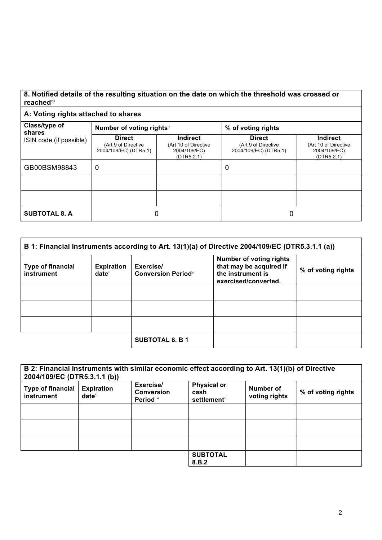### **8. Notified details of the resulting situation on the date on which the threshold was crossed or reached**viii

## **A: Voting rights attached to shares**

| Class/type of<br>shares<br>ISIN code (if possible) | Number of voting rights <sup>ix</sup>                         |                                                                       | % of voting rights                                            |                                                                       |
|----------------------------------------------------|---------------------------------------------------------------|-----------------------------------------------------------------------|---------------------------------------------------------------|-----------------------------------------------------------------------|
|                                                    | <b>Direct</b><br>(Art 9 of Directive<br>2004/109/EC) (DTR5.1) | <b>Indirect</b><br>(Art 10 of Directive<br>2004/109/EC)<br>(DTR5.2.1) | <b>Direct</b><br>(Art 9 of Directive<br>2004/109/EC) (DTR5.1) | <b>Indirect</b><br>(Art 10 of Directive<br>2004/109/EC)<br>(DTR5.2.1) |
| GB00BSM98843                                       | 0                                                             |                                                                       | 0                                                             |                                                                       |
|                                                    |                                                               |                                                                       |                                                               |                                                                       |
|                                                    |                                                               |                                                                       |                                                               |                                                                       |
| <b>SUBTOTAL 8. A</b>                               |                                                               |                                                                       | 0                                                             |                                                                       |

| B 1: Financial Instruments according to Art. 13(1)(a) of Directive 2004/109/EC (DTR5.3.1.1 (a)) |                               |                                          |                                                                                                        |                    |
|-------------------------------------------------------------------------------------------------|-------------------------------|------------------------------------------|--------------------------------------------------------------------------------------------------------|--------------------|
| <b>Type of financial</b><br>instrument                                                          | <b>Expiration</b><br>$date^x$ | Exercise/<br><b>Conversion Period</b> xi | <b>Number of voting rights</b><br>that may be acquired if<br>the instrument is<br>exercised/converted. | % of voting rights |
|                                                                                                 |                               |                                          |                                                                                                        |                    |
|                                                                                                 |                               |                                          |                                                                                                        |                    |
|                                                                                                 |                               |                                          |                                                                                                        |                    |
|                                                                                                 |                               | <b>SUBTOTAL 8. B 1</b>                   |                                                                                                        |                    |

| 2004/109/EC (DTR5.3.1.1 (b))           |                               | B 2: Financial Instruments with similar economic effect according to Art. 13(1)(b) of Directive |                                                     |                            |                    |
|----------------------------------------|-------------------------------|-------------------------------------------------------------------------------------------------|-----------------------------------------------------|----------------------------|--------------------|
| <b>Type of financial</b><br>instrument | <b>Expiration</b><br>$date^x$ | Exercise/<br><b>Conversion</b><br>Period <sup>xi</sup>                                          | <b>Physical or</b><br>cash<br><b>settlement</b> xii | Number of<br>voting rights | % of voting rights |
|                                        |                               |                                                                                                 |                                                     |                            |                    |
|                                        |                               |                                                                                                 |                                                     |                            |                    |
|                                        |                               |                                                                                                 |                                                     |                            |                    |
|                                        |                               |                                                                                                 | <b>SUBTOTAL</b><br>8.B.2                            |                            |                    |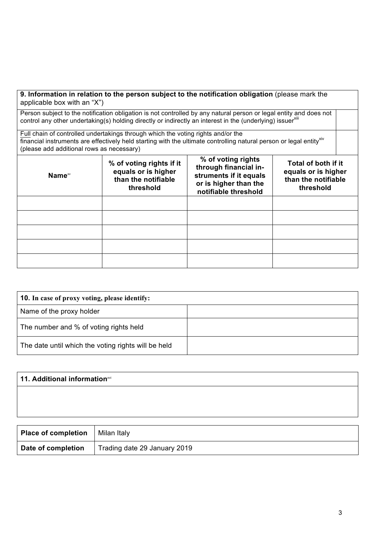| applicable box with an "X")               |                                                                                     | 9. Information in relation to the person subject to the notification obligation (please mark the                                                                                                                                             |                                                                                |  |
|-------------------------------------------|-------------------------------------------------------------------------------------|----------------------------------------------------------------------------------------------------------------------------------------------------------------------------------------------------------------------------------------------|--------------------------------------------------------------------------------|--|
|                                           |                                                                                     | Person subject to the notification obligation is not controlled by any natural person or legal entity and does not<br>control any other undertaking(s) holding directly or indirectly an interest in the (underlying) issuer <sup>xili</sup> |                                                                                |  |
| (please add additional rows as necessary) | Full chain of controlled undertakings through which the voting rights and/or the    | financial instruments are effectively held starting with the ultimate controlling natural person or legal entity <sup>xiv</sup>                                                                                                              |                                                                                |  |
| Name <sup>xv</sup>                        | % of voting rights if it<br>equals or is higher<br>than the notifiable<br>threshold | % of voting rights<br>through financial in-<br>struments if it equals<br>or is higher than the<br>notifiable threshold                                                                                                                       | Total of both if it<br>equals or is higher<br>than the notifiable<br>threshold |  |
|                                           |                                                                                     |                                                                                                                                                                                                                                              |                                                                                |  |
|                                           |                                                                                     |                                                                                                                                                                                                                                              |                                                                                |  |
|                                           |                                                                                     |                                                                                                                                                                                                                                              |                                                                                |  |
|                                           |                                                                                     |                                                                                                                                                                                                                                              |                                                                                |  |
|                                           |                                                                                     |                                                                                                                                                                                                                                              |                                                                                |  |

| <b>10.</b> In case of proxy voting, please identify: |  |  |
|------------------------------------------------------|--|--|
| Name of the proxy holder                             |  |  |
| The number and % of voting rights held               |  |  |
| The date until which the voting rights will be held  |  |  |

| 11. Additional informationxvi |  |  |
|-------------------------------|--|--|
|                               |  |  |
|                               |  |  |
|                               |  |  |

| <b>Place of completion</b>   Milan Italy |                              |
|------------------------------------------|------------------------------|
| Date of completion                       | Trading date 29 January 2019 |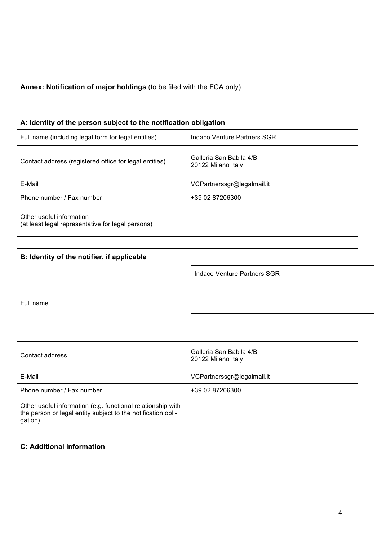# **Annex: Notification of major holdings** (to be filed with the FCA only)

| A: Identity of the person subject to the notification obligation              |                                               |  |  |
|-------------------------------------------------------------------------------|-----------------------------------------------|--|--|
| Full name (including legal form for legal entities)                           | Indaco Venture Partners SGR                   |  |  |
| Contact address (registered office for legal entities)                        | Galleria San Babila 4/B<br>20122 Milano Italy |  |  |
| E-Mail                                                                        | VCPartnerssgr@legalmail.it                    |  |  |
| Phone number / Fax number                                                     | +39 02 87206300                               |  |  |
| Other useful information<br>(at least legal representative for legal persons) |                                               |  |  |

| B: Identity of the notifier, if applicable                                                                                             |                                               |  |
|----------------------------------------------------------------------------------------------------------------------------------------|-----------------------------------------------|--|
|                                                                                                                                        | <b>Indaco Venture Partners SGR</b>            |  |
|                                                                                                                                        |                                               |  |
| Full name                                                                                                                              |                                               |  |
|                                                                                                                                        |                                               |  |
|                                                                                                                                        |                                               |  |
| Contact address                                                                                                                        | Galleria San Babila 4/B<br>20122 Milano Italy |  |
| E-Mail                                                                                                                                 | VCPartnerssgr@legalmail.it                    |  |
| Phone number / Fax number                                                                                                              | +39 02 87206300                               |  |
| Other useful information (e.g. functional relationship with<br>the person or legal entity subject to the notification obli-<br>gation) |                                               |  |

## **C: Additional information**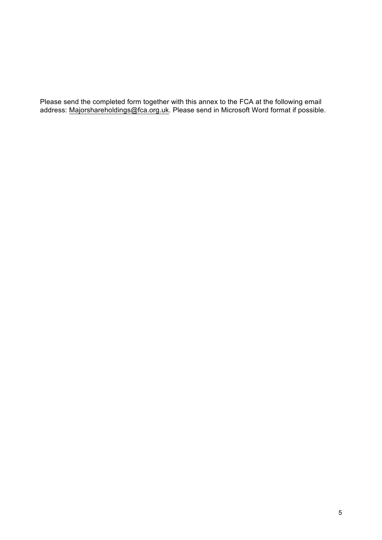Please send the completed form together with this annex to the FCA at the following email address: Majorshareholdings@fca.org.uk. Please send in Microsoft Word format if possible.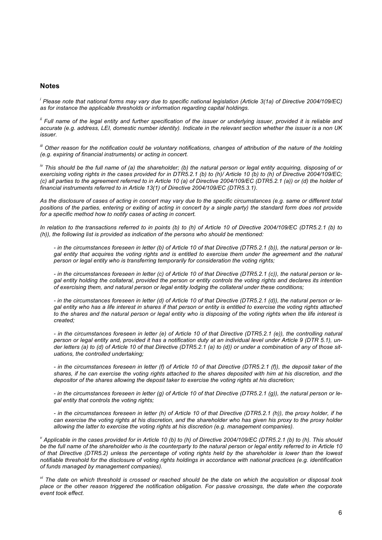#### **Notes**

*i Please note that national forms may vary due to specific national legislation (Article 3(1a) of Directive 2004/109/EC) as for instance the applicable thresholds or information regarding capital holdings.*

*ii Full name of the legal entity and further specification of the issuer or underlying issuer, provided it is reliable and accurate (e.g. address, LEI, domestic number identity). Indicate in the relevant section whether the issuer is a non UK issuer.*

*iii Other reason for the notification could be voluntary notifications, changes of attribution of the nature of the holding (e.g. expiring of financial instruments) or acting in concert.*

*iv This should be the full name of (a) the shareholder; (b) the natural person or legal entity acquiring, disposing of or exercising voting rights in the cases provided for in DTR5.2.1 (b) to (h)/ Article 10 (b) to (h) of Directive 2004/109/EC; (c) all parties to the agreement referred to in Article 10 (a) of Directive 2004/109/EC (DTR5.2.1 (a)) or (d) the holder of financial instruments referred to in Article 13(1) of Directive 2004/109/EC (DTR5.3.1).*

*As the disclosure of cases of acting in concert may vary due to the specific circumstances (e.g. same or different total positions of the parties, entering or exiting of acting in concert by a single party) the standard form does not provide for a specific method how to notify cases of acting in concert.*

*In relation to the transactions referred to in points (b) to (h) of Article 10 of Directive 2004/109/EC (DTR5.2.1 (b) to (h)), the following list is provided as indication of the persons who should be mentioned:*

*- in the circumstances foreseen in letter (b) of Article 10 of that Directive (DTR5.2.1 (b)), the natural person or legal entity that acquires the voting rights and is entitled to exercise them under the agreement and the natural person or legal entity who is transferring temporarily for consideration the voting rights;*

*- in the circumstances foreseen in letter (c) of Article 10 of that Directive (DTR5.2.1 (c)), the natural person or legal entity holding the collateral, provided the person or entity controls the voting rights and declares its intention of exercising them, and natural person or legal entity lodging the collateral under these conditions;*

*- in the circumstances foreseen in letter (d) of Article 10 of that Directive (DTR5.2.1 (d)), the natural person or legal entity who has a life interest in shares if that person or entity is entitled to exercise the voting rights attached to the shares and the natural person or legal entity who is disposing of the voting rights when the life interest is created;*

*- in the circumstances foreseen in letter (e) of Article 10 of that Directive (DTR5.2.1 (e)), the controlling natural person or legal entity and, provided it has a notification duty at an individual level under Article 9 (DTR 5.1), under letters (a) to (d) of Article 10 of that Directive (DTR5.2.1 (a) to (d)) or under a combination of any of those situations, the controlled undertaking;*

*- in the circumstances foreseen in letter (f) of Article 10 of that Directive (DTR5.2.1 (f)), the deposit taker of the shares, if he can exercise the voting rights attached to the shares deposited with him at his discretion, and the depositor of the shares allowing the deposit taker to exercise the voting rights at his discretion;*

*- in the circumstances foreseen in letter (g) of Article 10 of that Directive (DTR5.2.1 (g)), the natural person or legal entity that controls the voting rights;*

*- in the circumstances foreseen in letter (h) of Article 10 of that Directive (DTR5.2.1 (h)), the proxy holder, if he*  can exercise the voting rights at his discretion, and the shareholder who has given his proxy to the proxy holder *allowing the latter to exercise the voting rights at his discretion (e.g. management companies).*

*<sup>v</sup> Applicable in the cases provided for in Article 10 (b) to (h) of Directive 2004/109/EC (DTR5.2.1 (b) to (h). This should*  be the full name of the shareholder who is the counterparty to the natural person or legal entity referred to in Article 10 *of that Directive (DTR5.2) unless the percentage of voting rights held by the shareholder is lower than the lowest notifiable threshold for the disclosure of voting rights holdings in accordance with national practices (e.g. identification of funds managed by management companies).*

*vi The date on which threshold is crossed or reached should be the date on which the acquisition or disposal took place or the other reason triggered the notification obligation. For passive crossings, the date when the corporate event took effect.*